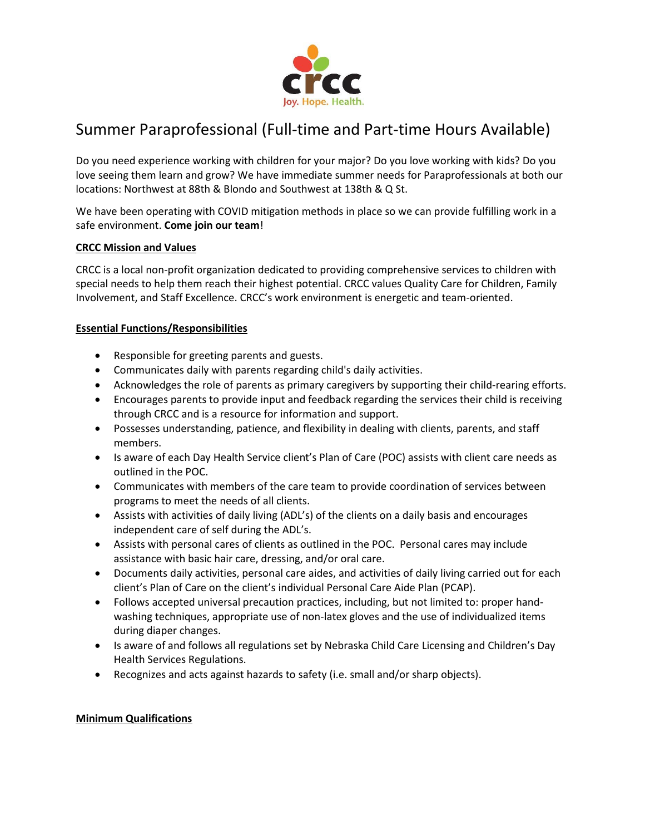

# Summer Paraprofessional (Full-time and Part-time Hours Available)

Do you need experience working with children for your major? Do you love working with kids? Do you love seeing them learn and grow? We have immediate summer needs for Paraprofessionals at both our locations: Northwest at 88th & Blondo and Southwest at 138th & Q St.

We have been operating with COVID mitigation methods in place so we can provide fulfilling work in a safe environment. **Come join our team**!

## **CRCC Mission and Values**

CRCC is a local non-profit organization dedicated to providing comprehensive services to children with special needs to help them reach their highest potential. CRCC values Quality Care for Children, Family Involvement, and Staff Excellence. CRCC's work environment is energetic and team-oriented.

## **Essential Functions/Responsibilities**

- Responsible for greeting parents and guests.
- Communicates daily with parents regarding child's daily activities.
- Acknowledges the role of parents as primary caregivers by supporting their child-rearing efforts.
- Encourages parents to provide input and feedback regarding the services their child is receiving through CRCC and is a resource for information and support.
- Possesses understanding, patience, and flexibility in dealing with clients, parents, and staff members.
- Is aware of each Day Health Service client's Plan of Care (POC) assists with client care needs as outlined in the POC.
- Communicates with members of the care team to provide coordination of services between programs to meet the needs of all clients.
- Assists with activities of daily living (ADL's) of the clients on a daily basis and encourages independent care of self during the ADL's.
- Assists with personal cares of clients as outlined in the POC. Personal cares may include assistance with basic hair care, dressing, and/or oral care.
- Documents daily activities, personal care aides, and activities of daily living carried out for each client's Plan of Care on the client's individual Personal Care Aide Plan (PCAP).
- Follows accepted universal precaution practices, including, but not limited to: proper handwashing techniques, appropriate use of non-latex gloves and the use of individualized items during diaper changes.
- Is aware of and follows all regulations set by Nebraska Child Care Licensing and Children's Day Health Services Regulations.
- Recognizes and acts against hazards to safety (i.e. small and/or sharp objects).

#### **Minimum Qualifications**